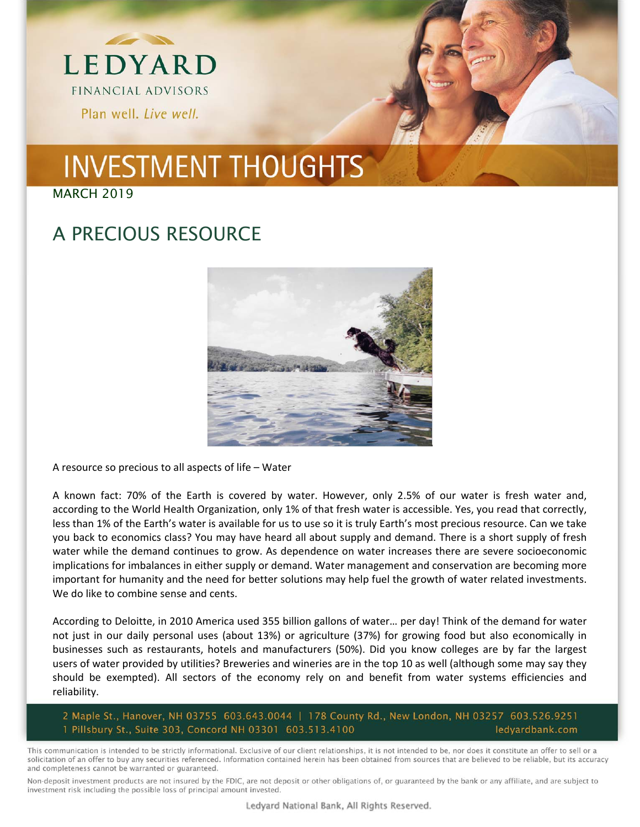

MARCH 2019

### A PRECIOUS RESOURCE



A resource so precious to all aspects of life – Water

A known fact: 70% of the Earth is covered by water. However, only 2.5% of our water is fresh water and, according to the World Health Organization, only 1% of that fresh water is accessible. Yes, you read that correctly, less than 1% of the Earth's water is available for us to use so it is truly Earth's most precious resource. Can we take you back to economics class? You may have heard all about supply and demand. There is a short supply of fresh water while the demand continues to grow. As dependence on water increases there are severe socioeconomic implications for imbalances in either supply or demand. Water management and conservation are becoming more important for humanity and the need for better solutions may help fuel the growth of water related investments. We do like to combine sense and cents.

According to Deloitte, in 2010 America used 355 billion gallons of water… per day! Think of the demand for water not just in our daily personal uses (about 13%) or agriculture (37%) for growing food but also economically in businesses such as restaurants, hotels and manufacturers (50%). Did you know colleges are by far the largest users of water provided by utilities? Breweries and wineries are in the top 10 as well (although some may say they should be exempted). All sectors of the economy rely on and benefit from water systems efficiencies and reliability.

2 Maple St., Hanover, NH 03755 603.643.0044 | 178 County Rd., New London, NH 03257 603.526.9251 1 Pillsbury St., Suite 303, Concord NH 03301 603.513.4100 ledyardbank.com

This communication is intended to be strictly informational. Exclusive of our client relationships, it is not intended to be, nor does it constitute an offer to sell or a solicitation of an offer to buy any securities referenced. Information contained herein has been obtained from sources that are believed to be reliable, but its accuracy and completeness cannot be warranted or guaranteed.

Non-deposit investment products are not insured by the FDIC, are not deposit or other obligations of, or guaranteed by the bank or any affiliate, and are subject to investment risk including the possible loss of principal amount invested.

Ledyard National Bank, All Rights Reserved.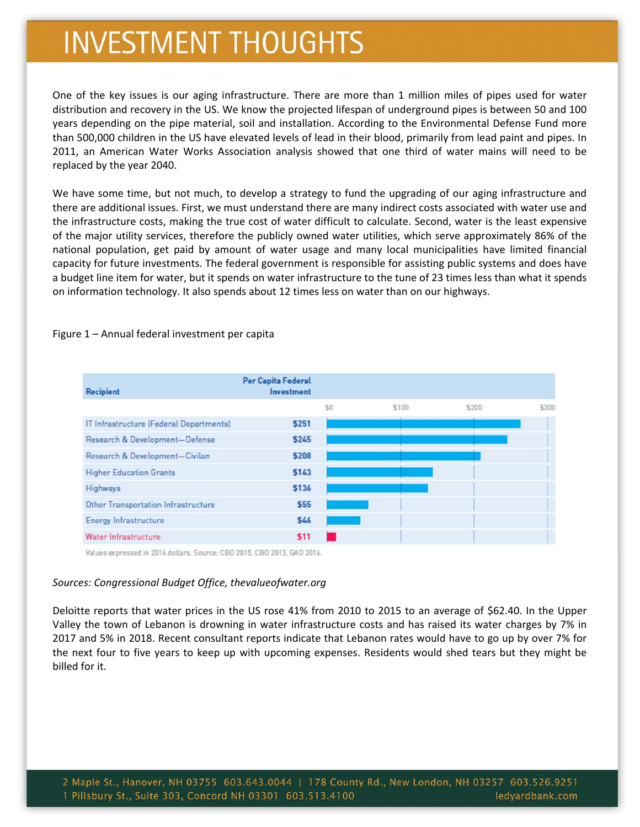One of the key issues is our aging infrastructure. There are more than 1 million miles of pipes used for water distribution and recovery in the US. We know the projected lifespan of underground pipes is between 50 and 100 years depending on the pipe material, soil and installation. According to the Environmental Defense Fund more than 500,000 children in the US have elevated levels of lead in their blood, primarily from lead paint and pipes. In 2011, an American Water Works Association analysis showed that one third of water mains will need to be replaced by the year 2040.

We have some time, but not much, to develop a strategy to fund the upgrading of our aging infrastructure and there are additional issues. First, we must understand there are many indirect costs associated with water use and the infrastructure costs, making the true cost of water difficult to calculate. Second, water is the least expensive of the major utility services, therefore the publicly owned water utilities, which serve approximately 86% of the national population, get paid by amount of water usage and many local municipalities have limited financial capacity for future investments. The federal government is responsible for assisting public systems and does have a budget line item for water, but it spends on water infrastructure to the tune of 23 times less than what it spends on information technology. It also spends about 12 times less on water than on our highways.

| Recipient                               | Per Capita Federal<br>Investment |     |       |       |       |
|-----------------------------------------|----------------------------------|-----|-------|-------|-------|
|                                         |                                  | \$0 | \$100 | \$200 | \$300 |
| IT Infrastructure [Federal Departments] | <b>S251</b>                      |     |       |       |       |
| Research & Development-Defense          | <b>S245</b>                      |     |       |       |       |
| Research & Development-Civilan          | <b>S208</b>                      |     |       |       |       |
| <b>Higher Education Grants</b>          | <b>S143</b>                      |     |       |       |       |
| Highways                                | <b>S136</b>                      |     |       |       |       |
| Other Transportation Infrastructure     | \$55                             |     |       |       |       |
| Energy Infrastructure                   | \$46                             |     |       |       |       |
| Water Infrastructure                    | \$11                             |     |       |       |       |

Figure 1 – Annual federal investment per capita

Values expressed in 2014 dollars. Source: CBO 2015, CBO 2013, GAO 2016.

#### *Sources: Congressional Budget Office, thevalueofwater.org*

Deloitte reports that water prices in the US rose 41% from 2010 to 2015 to an average of \$62.40. In the Upper Valley the town of Lebanon is drowning in water infrastructure costs and has raised its water charges by 7% in 2017 and 5% in 2018. Recent consultant reports indicate that Lebanon rates would have to go up by over 7% for the next four to five years to keep up with upcoming expenses. Residents would shed tears but they might be billed for it.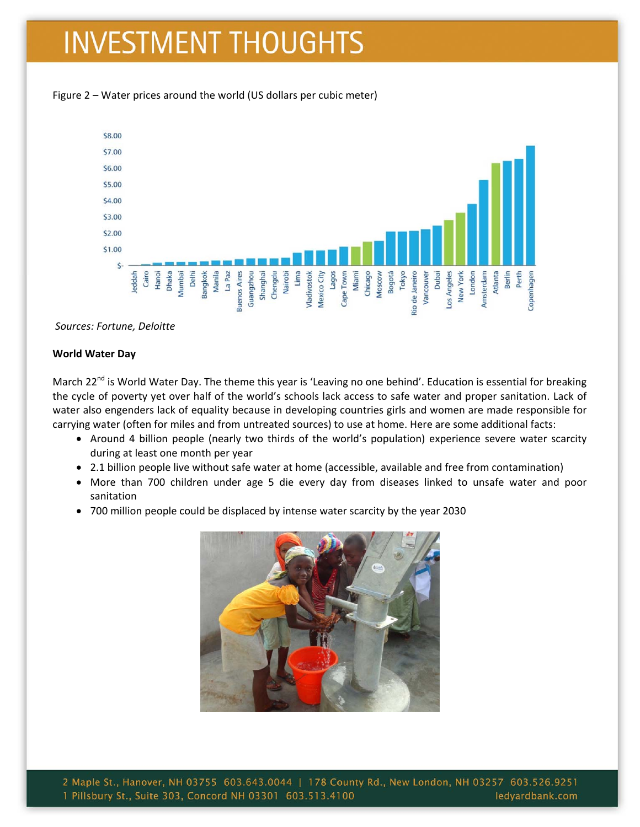



*Sources: Fortune, Deloitte*

#### **World Water Day**

March 22<sup>nd</sup> is World Water Day. The theme this year is 'Leaving no one behind'. Education is essential for breaking the cycle of poverty yet over half of the world's schools lack access to safe water and proper sanitation. Lack of water also engenders lack of equality because in developing countries girls and women are made responsible for carrying water (often for miles and from untreated sources) to use at home. Here are some additional facts:

- Around 4 billion people (nearly two thirds of the world's population) experience severe water scarcity during at least one month per year
- 2.1 billion people live without safe water at home (accessible, available and free from contamination)
- More than 700 children under age 5 die every day from diseases linked to unsafe water and poor sanitation
- 700 million people could be displaced by intense water scarcity by the year 2030



2 Maple St., Hanover, NH 03755 603.643.0044 | 178 County Rd., New London, NH 03257 603.526.9251 1 Pillsbury St., Suite 303, Concord NH 03301 603.513.4100 ledyardbank.com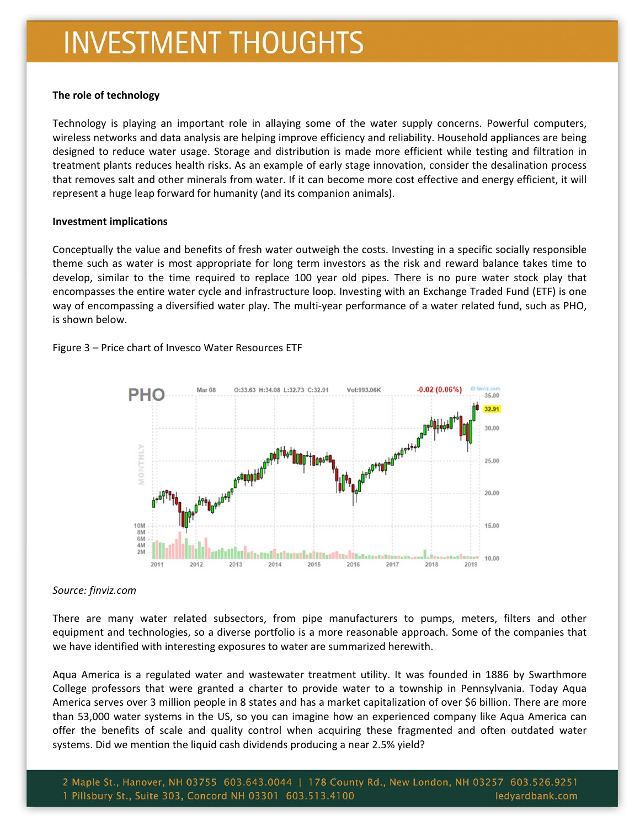#### **The role of technology**

Technology is playing an important role in allaying some of the water supply concerns. Powerful computers, wireless networks and data analysis are helping improve efficiency and reliability. Household appliances are being designed to reduce water usage. Storage and distribution is made more efficient while testing and filtration in treatment plants reduces health risks. As an example of early stage innovation, consider the desalination process that removes salt and other minerals from water. If it can become more cost effective and energy efficient, it will represent a huge leap forward for humanity (and its companion animals).

#### **Investment implications**

Conceptually the value and benefits of fresh water outweigh the costs. Investing in a specific socially responsible theme such as water is most appropriate for long term investors as the risk and reward balance takes time to develop, similar to the time required to replace 100 year old pipes. There is no pure water stock play that encompasses the entire water cycle and infrastructure loop. Investing with an Exchange Traded Fund (ETF) is one way of encompassing a diversified water play. The multi‐year performance of a water related fund, such as PHO, is shown below.

Figure 3 – Price chart of Invesco Water Resources ETF



#### *Source: finviz.com*

There are many water related subsectors, from pipe manufacturers to pumps, meters, filters and other equipment and technologies, so a diverse portfolio is a more reasonable approach. Some of the companies that we have identified with interesting exposures to water are summarized herewith.

Aqua America is a regulated water and wastewater treatment utility. It was founded in 1886 by Swarthmore College professors that were granted a charter to provide water to a township in Pennsylvania. Today Aqua America serves over 3 million people in 8 states and has a market capitalization of over \$6 billion. There are more than 53,000 water systems in the US, so you can imagine how an experienced company like Aqua America can offer the benefits of scale and quality control when acquiring these fragmented and often outdated water systems. Did we mention the liquid cash dividends producing a near 2.5% yield?

2 Maple St., Hanover, NH 03755 603.643.0044 | 178 County Rd., New London, NH 03257 603.526.9251 1 Pillsbury St., Suite 303, Concord NH 03301 603.513.4100 ledyardbank.com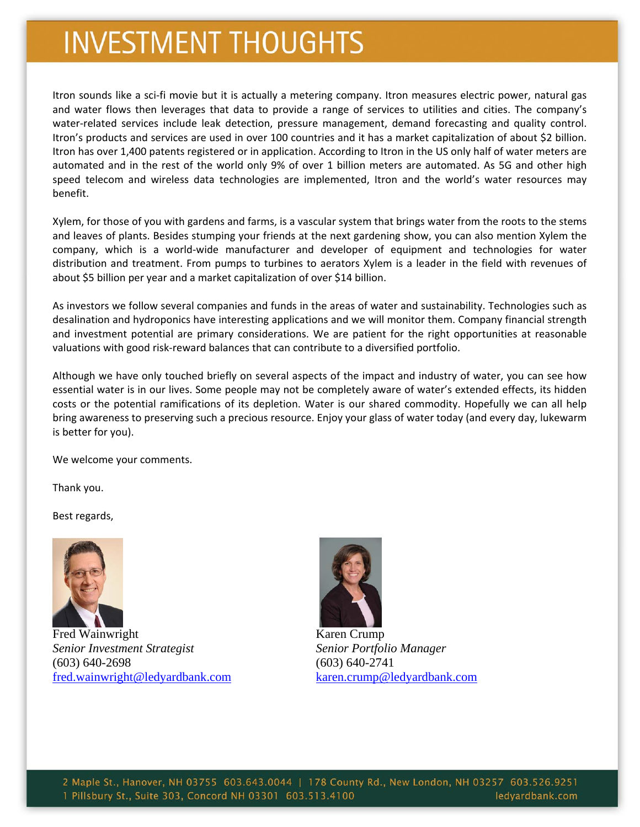Itron sounds like a sci‐fi movie but it is actually a metering company. Itron measures electric power, natural gas and water flows then leverages that data to provide a range of services to utilities and cities. The company's water-related services include leak detection, pressure management, demand forecasting and quality control. Itron's products and services are used in over 100 countries and it has a market capitalization of about \$2 billion. Itron has over 1,400 patents registered or in application. According to Itron in the US only half of water meters are automated and in the rest of the world only 9% of over 1 billion meters are automated. As 5G and other high speed telecom and wireless data technologies are implemented, Itron and the world's water resources may benefit.

Xylem, for those of you with gardens and farms, is a vascular system that brings water from the roots to the stems and leaves of plants. Besides stumping your friends at the next gardening show, you can also mention Xylem the company, which is a world-wide manufacturer and developer of equipment and technologies for water distribution and treatment. From pumps to turbines to aerators Xylem is a leader in the field with revenues of about \$5 billion per year and a market capitalization of over \$14 billion.

As investors we follow several companies and funds in the areas of water and sustainability. Technologies such as desalination and hydroponics have interesting applications and we will monitor them. Company financial strength and investment potential are primary considerations. We are patient for the right opportunities at reasonable valuations with good risk‐reward balances that can contribute to a diversified portfolio.

Although we have only touched briefly on several aspects of the impact and industry of water, you can see how essential water is in our lives. Some people may not be completely aware of water's extended effects, its hidden costs or the potential ramifications of its depletion. Water is our shared commodity. Hopefully we can all help bring awareness to preserving such a precious resource. Enjoy your glass of water today (and every day, lukewarm is better for you).

We welcome your comments.

Thank you.

Best regards,



Fred Wainwright Karen Crump *Senior Investment Strategist Senior Portfolio Manager*  (603) 640-2698 (603) 640-2741 fred.wainwright@ledyardbank.com karen.crump@ledyardbank.com